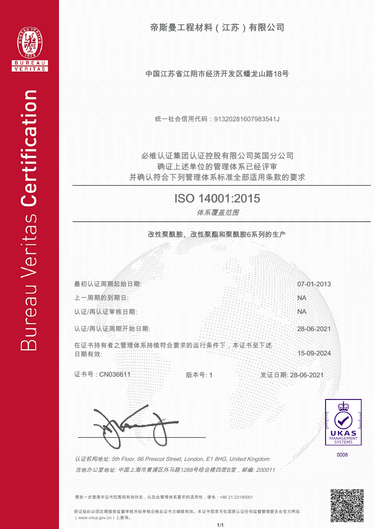

帝斯曼工程材料(江苏)有限公司

中国江苏省江阴市经济开发区蟠龙山路18号

统一社会信用代码:91320281607983541J

并确认符合下列管理体系标准全部适用条款的要求 确证上述单位的管理体系已经评审 必维认证集团认证控股有限公司英国分公司

## ISO 14001:2015

体系覆盖范围

改性聚酰胺、改性聚酯和聚酰胺6系列的生产 tipiti p



需进一步澄清本证书范围和有效状态,以及此管理体系要求的适用性,请电:+86 21 23190001

获证组织必须定期接受监督审核并经审核合格此证书方继续有效。本证书信息可在国家认证任何监督管理委员会官方网站 (www.cnca.gov.cn)上查询。